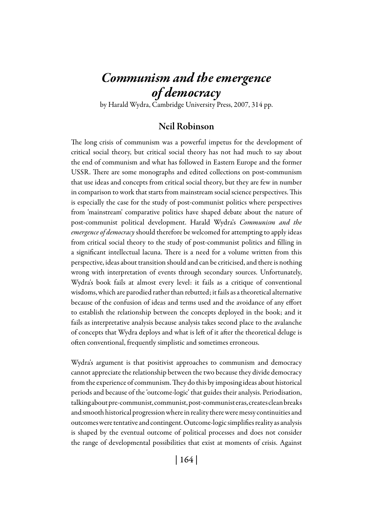# *Communism and the emergence of democracy*

by Harald Wydra, Cambridge University Press, 2007, 314 pp.

# Neil Robinson

The long crisis of communism was a powerful impetus for the development of critical social theory, but critical social theory has not had much to say about the end of communism and what has followed in Eastern Europe and the former USSR. There are some monographs and edited collections on post-communism that use ideas and concepts from critical social theory, but they are few in number in comparison to work that starts from mainstream social science perspectives. This is especially the case for the study of post-communist politics where perspectives from 'mainstream' comparative politics have shaped debate about the nature of post-communist political development. Harald Wydra's *Communism and the emergence of democracy* should therefore be welcomed for attempting to apply ideas from critical social theory to the study of post-communist politics and filling in a significant intellectual lacuna. There is a need for a volume written from this perspective, ideas about transition should and can be criticised, and there is nothing wrong with interpretation of events through secondary sources. Unfortunately, Wydra's book fails at almost every level: it fails as a critique of conventional wisdoms, which are parodied rather than rebutted; it fails as a theoretical alternative because of the confusion of ideas and terms used and the avoidance of any effort to establish the relationship between the concepts deployed in the book; and it fails as interpretative analysis because analysis takes second place to the avalanche of concepts that Wydra deploys and what is left of it after the theoretical deluge is often conventional, frequently simplistic and sometimes erroneous.

Wydra's argument is that positivist approaches to communism and democracy cannot appreciate the relationship between the two because they divide democracy from the experience of communism. They do this by imposing ideas about historical periods and because of the 'outcome-logic' that guides their analysis. Periodisation, talking about pre-communist, communist, post-communist eras, creates clean breaks and smooth historical progression where in reality there were messy continuities and outcomes were tentative and contingent. Outcome-logic simplifies reality as analysis is shaped by the eventual outcome of political processes and does not consider the range of developmental possibilities that exist at moments of crisis. Against

| 164 |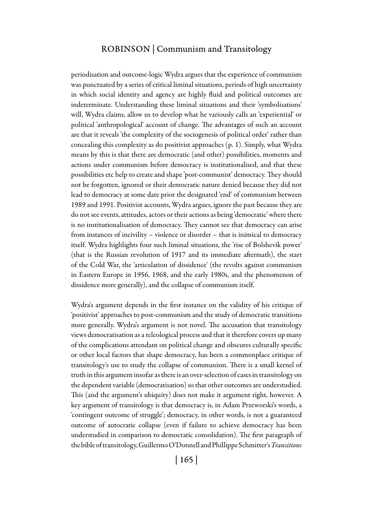## Robinson | Communism and Transitology

periodisation and outcome-logic Wydra argues that the experience of communism was punctuated by a series of critical liminal situations, periods of high uncertainty in which social identity and agency are highly fluid and political outcomes are indeterminate. Understanding these liminal situations and their 'symbolisations' will, Wydra claims, allow us to develop what he variously calls an 'experiential' or political 'anthropological' account of change. The advantages of such an account are that it reveals 'the complexity of the sociogenesis of political order' rather than concealing this complexity as do positivist approaches (p. 1). Simply, what Wydra means by this is that there are democratic (and other) possibilities, moments and actions under communism before democracy is institutionalised, and that these possibilities etc help to create and shape 'post-communist' democracy. They should not be forgotten, ignored or their democratic nature denied because they did not lead to democracy at some date prior the designated 'end' of communism between 1989 and 1991. Positivist accounts, Wydra argues, ignore the past because they are do not see events, attitudes, actors or their actions as being 'democratic' where there is no institutionalisation of democracy. They cannot see that democracy can arise from instances of incivility – violence or disorder – that is inimical to democracy itself. Wydra highlights four such liminal situations, the 'rise of Bolshevik power' (that is the Russian revolution of 1917 and its immediate aftermath), the start of the Cold War, the 'articulation of dissidence' (the revolts against communism in Eastern Europe in 1956, 1968, and the early 1980s, and the phenomenon of dissidence more generally), and the collapse of communism itself.

Wydra's argument depends in the first instance on the validity of his critique of 'positivist' approaches to post-communism and the study of democratic transitions more generally. Wydra's argument is not novel. The accusation that transitology views democratisation as a teleological process and that it therefore covers up many of the complications attendant on political change and obscures culturally specific or other local factors that shape democracy, has been a commonplace critique of transitology's use to study the collapse of communism. There is a small kernel of truth in this argument insofar as there is an over-selection of cases in transitology on the dependent variable (democratisation) so that other outcomes are understudied. This (and the argument's ubiquity) does not make it argument right, however. A key argument of transitology is that democracy is, in Adam Przeworski's words, a 'contingent outcome of struggle'; democracy, in other words, is not a guaranteed outcome of autocratic collapse (even if failure to achieve democracy has been understudied in comparison to democratic consolidation). The first paragraph of the bible of transitology, Guillermo O'Donnell and Phillippe Schmitter's *Transitions*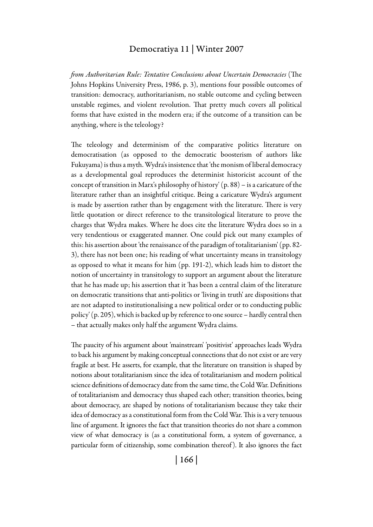#### Democratiya 11 | Winter 2007

*from Authoritarian Rule: Tentative Conclusions about Uncertain Democracies* (The Johns Hopkins University Press, 1986, p. 3), mentions four possible outcomes of transition: democracy, authoritarianism, no stable outcome and cycling between unstable regimes, and violent revolution. That pretty much covers all political forms that have existed in the modern era; if the outcome of a transition can be anything, where is the teleology?

The teleology and determinism of the comparative politics literature on democratisation (as opposed to the democratic boosterism of authors like Fukuyama) is thus a myth. Wydra's insistence that 'the monism of liberal democracy as a developmental goal reproduces the determinist historicist account of the concept of transition in Marx's philosophy of history' (p. 88) – is a caricature of the literature rather than an insightful critique. Being a caricature Wydra's argument is made by assertion rather than by engagement with the literature. There is very little quotation or direct reference to the transitological literature to prove the charges that Wydra makes. Where he does cite the literature Wydra does so in a very tendentious or exaggerated manner. One could pick out many examples of this: his assertion about 'the renaissance of the paradigm of totalitarianism' (pp. 82- 3), there has not been one; his reading of what uncertainty means in transitology as opposed to what it means for him (pp. 191-2), which leads him to distort the notion of uncertainty in transitology to support an argument about the literature that he has made up; his assertion that it 'has been a central claim of the literature on democratic transitions that anti-politics or 'living in truth' are dispositions that are not adapted to institutionalising a new political order or to conducting public policy' (p. 205), which is backed up by reference to one source – hardly central then – that actually makes only half the argument Wydra claims.

The paucity of his argument about 'mainstream' 'positivist' approaches leads Wydra to back his argument by making conceptual connections that do not exist or are very fragile at best. He asserts, for example, that the literature on transition is shaped by notions about totalitarianism since the idea of totalitarianism and modern political science definitions of democracy date from the same time, the Cold War. Definitions of totalitarianism and democracy thus shaped each other; transition theories, being about democracy, are shaped by notions of totalitarianism because they take their idea of democracy as a constitutional form from the Cold War. This is a very tenuous line of argument. It ignores the fact that transition theories do not share a common view of what democracy is (as a constitutional form, a system of governance, a particular form of citizenship, some combination thereof ). It also ignores the fact

| 166 |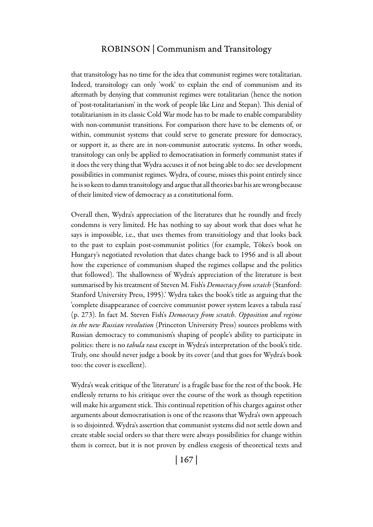## Robinson | Communism and Transitology

that transitology has no time for the idea that communist regimes were totalitarian. Indeed, transitology can only 'work' to explain the end of communism and its aftermath by denying that communist regimes were totalitarian (hence the notion of 'post-totalitarianism' in the work of people like Linz and Stepan). This denial of totalitarianism in its classic Cold War mode has to be made to enable comparability with non-communist transitions. For comparison there have to be elements of, or within, communist systems that could serve to generate pressure for democracy, or support it, as there are in non-communist autocratic systems. In other words, transitology can only be applied to democratisation in formerly communist states if it does the very thing that Wydra accuses it of not being able to do: see development possibilities in communist regimes. Wydra, of course, misses this point entirely since he is so keen to damn transitology and argue that all theories bar his are wrong because of their limited view of democracy as a constitutional form.

Overall then, Wydra's appreciation of the literatures that he roundly and freely condemns is very limited. He has nothing to say about work that does what he says is impossible, i.e., that uses themes from transitiology and that looks back to the past to explain post-communist politics (for example, Tökes's book on Hungary's negotiated revolution that dates change back to 1956 and is all about how the experience of communism shaped the regimes collapse and the politics that followed). The shallowness of Wydra's appreciation of the literature is best summarised by his treatment of Steven M. Fish's *Democracy from scratch* (Stanford: Stanford University Press, 1995).' Wydra takes the book's title as arguing that the 'complete disappearance of coercive communist power system leaves a tabula rasa' (p. 273). In fact M. Steven Fish's *Democracy from scratch. Opposition and regime in the new Russian revolution* (Princeton University Press) sources problems with Russian democracy to communism's shaping of people's ability to participate in politics: there is no *tabula rasa* except in Wydra's interpretation of the book's title. Truly, one should never judge a book by its cover (and that goes for Wydra's book too: the cover is excellent).

Wydra's weak critique of the 'literature' is a fragile base for the rest of the book. He endlessly returns to his critique over the course of the work as though repetition will make his argument stick. This continual repetition of his charges against other arguments about democratisation is one of the reasons that Wydra's own approach is so disjointed. Wydra's assertion that communist systems did not settle down and create stable social orders so that there were always possibilities for change within them is correct, but it is not proven by endless exegesis of theoretical texts and

| 167 |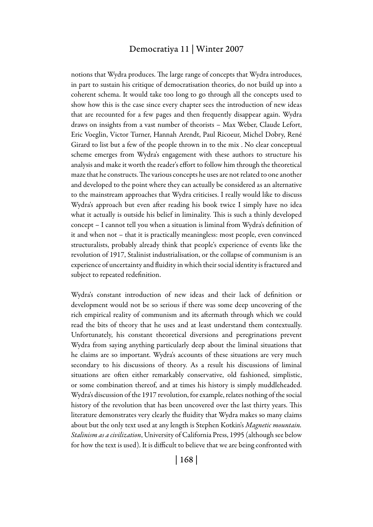## Democratiya 11 | Winter 2007

notions that Wydra produces. The large range of concepts that Wydra introduces, in part to sustain his critique of democratisation theories, do not build up into a coherent schema. It would take too long to go through all the concepts used to show how this is the case since every chapter sees the introduction of new ideas that are recounted for a few pages and then frequently disappear again. Wydra draws on insights from a vast number of theorists – Max Weber, Claude Lefort, Eric Voeglin, Victor Turner, Hannah Arendt, Paul Ricoeur, Michel Dobry, René Girard to list but a few of the people thrown in to the mix . No clear conceptual scheme emerges from Wydra's engagement with these authors to structure his analysis and make it worth the reader's effort to follow him through the theoretical maze that he constructs. The various concepts he uses are not related to one another and developed to the point where they can actually be considered as an alternative to the mainstream approaches that Wydra criticises. I really would like to discuss Wydra's approach but even after reading his book twice I simply have no idea what it actually is outside his belief in liminality. This is such a thinly developed concept – I cannot tell you when a situation is liminal from Wydra's definition of it and when not – that it is practically meaningless: most people, even convinced structuralists, probably already think that people's experience of events like the revolution of 1917, Stalinist industrialisation, or the collapse of communism is an experience of uncertainty and fluidity in which their social identity is fractured and subject to repeated redefinition.

Wydra's constant introduction of new ideas and their lack of definition or development would not be so serious if there was some deep uncovering of the rich empirical reality of communism and its aftermath through which we could read the bits of theory that he uses and at least understand them contextually. Unfortunately, his constant theoretical diversions and peregrinations prevent Wydra from saying anything particularly deep about the liminal situations that he claims are so important. Wydra's accounts of these situations are very much secondary to his discussions of theory. As a result his discussions of liminal situations are often either remarkably conservative, old fashioned, simplistic, or some combination thereof, and at times his history is simply muddleheaded. Wydra's discussion of the 1917 revolution, for example, relates nothing of the social history of the revolution that has been uncovered over the last thirty years. This literature demonstrates very clearly the fluidity that Wydra makes so many claims about but the only text used at any length is Stephen Kotkin's *Magnetic mountain. Stalinism as a civilization*, University of California Press, 1995 (although see below for how the text is used). It is difficult to believe that we are being confronted with

| 168 |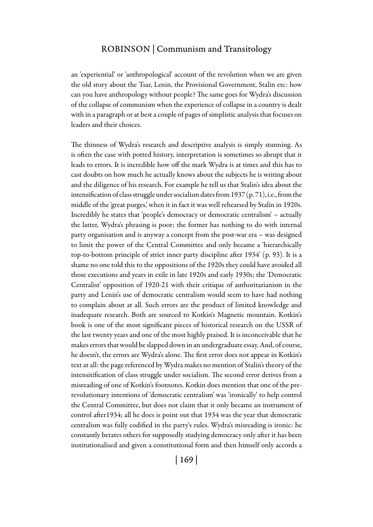## Robinson | Communism and Transitology

an 'experiential' or 'anthropological' account of the revolution when we are given the old story about the Tsar, Lenin, the Provisional Government, Stalin etc: how can you have anthropology without people? The same goes for Wydra's discussion of the collapse of communism when the experience of collapse in a country is dealt with in a paragraph or at best a couple of pages of simplistic analysis that focuses on leaders and their choices.

The thinness of Wydra's research and descriptive analysis is simply stunning. As is often the case with potted history, interpretation is sometimes so abrupt that it leads to errors. It is incredible how off the mark Wydra is at times and this has to cast doubts on how much he actually knows about the subjects he is writing about and the diligence of his research. For example he tell us that Stalin's idea about the intensification of class struggle under socialism dates from 1937 (p. 71), i.e., from the middle of the 'great purges,' when it in fact it was well rehearsed by Stalin in 1920s. Incredibly he states that 'people's democracy or democratic centralism' – actually the latter, Wydra's phrasing is poor; the former has nothing to do with internal party organisation and is anyway a concept from the post-war era – was designed to limit the power of the Central Committee and only became a 'hierarchically top-to-bottom principle of strict inner party discipline after 1934' (p. 93). It is a shame no one told this to the oppositions of the 1920s they could have avoided all those executions and years in exile in late 1920s and early 1930s; the 'Democratic Centralist' opposition of 1920-21 with their critique of authoritarianism in the party and Lenin's use of democratic centralism would seem to have had nothing to complain about at all. Such errors are the product of limited knowledge and inadequate research. Both are sourced to Kotkin's Magnetic mountain. Kotkin's book is one of the most significant pieces of historical research on the USSR of the last twenty years and one of the most highly praised. It is inconceivable that he makes errors that would be slapped down in an undergraduate essay. And, of course, he doesn't, the errors are Wydra's alone. The first error does not appear in Kotkin's text at all: the page referenced by Wydra makes no mention of Stalin's theory of the intensitification of class struggle under socialism. The second error derives from a misreading of one of Kotkin's footnotes. Kotkin does mention that one of the prerevolutionary intentions of 'democratic centralism' was 'ironically' to help control the Central Committee, but does not claim that it only became an instrument of control after1934; all he does is point out that 1934 was the year that democratic centralism was fully codified in the party's rules. Wydra's misreading is ironic: he constantly berates others for supposedly studying democracy only after it has been institutionalised and given a constitutional form and then himself only accords a

| 169 |